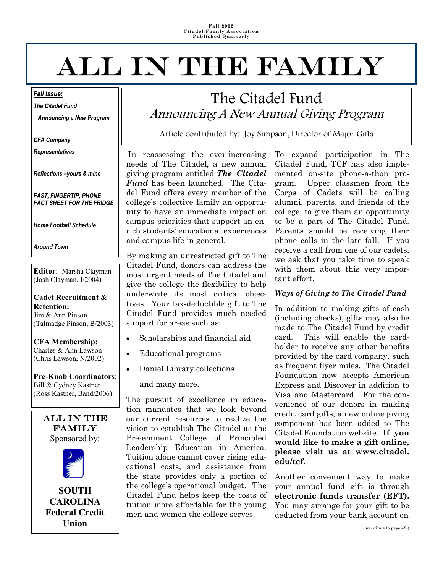**Fall 2002 Citadel Family Association Published Quarterly** 

# All in the Family

*Fall Issue:*

*The Citadel Fund* 

 *Announcing a New Program* 

*CFA Company* 

*Representatives* 

*Reflections –yours & mine* 

*FAST, FINGERTIP, PHONE FACT SHEET FOR THE FRIDGE* 

*Home Football Schedule* 

*Around Town* 

**Editor**: Marsha Clayman (Josh Clayman, I/2004)

**Cadet Recruitment & Retention:**  Jim & Ann Pinson (Talmadge Pinson, B/2003)

**CFA Membership:**  Charles & Ann Lawson (Chris Lawson, N/2002)

**Pre-Knob Coordinators**: Bill & Cydney Kastner (Ross Kastner, Band/2006)



### The Citadel Fund Announcing A New Annual Giving Program

Article contributed by: Joy Simpson, Director of Major Gifts

In reassessing the ever-increasing needs of The Citadel, a new annual giving program entitled *The Citadel Fund* has been launched. The Citadel Fund offers every member of the college's collective family an opportunity to have an immediate impact on campus priorities that support an enrich students' educational experiences and campus life in general.

By making an unrestricted gift to The Citadel Fund, donors can address the most urgent needs of The Citadel and give the college the flexibility to help underwrite its most critical objectives. Your tax-deductible gift to The Citadel Fund provides much needed support for areas such as:

- Scholarships and financial aid
- Educational programs
- Daniel Library collections

and many more.

The pursuit of excellence in education mandates that we look beyond our current resources to realize the vision to establish The Citadel as the Pre-eminent College of Principled Leadership Education in America. Tuition alone cannot cover rising educational costs, and assistance from the state provides only a portion of the college's operational budget. The Citadel Fund helps keep the costs of tuition more affordable for the young men and women the college serves.

To expand participation in The Citadel Fund, TCF has also implemented on-site phone-a-thon program. Upper classmen from the Corps of Cadets will be calling alumni, parents, and friends of the college, to give them an opportunity to be a part of The Citadel Fund. Parents should be receiving their phone calls in the late fall. If you receive a call from one of our cadets, we ask that you take time to speak with them about this very important effort.

#### *Ways of Giving to The Citadel Fund*

In addition to making gifts of cash (including checks), gifts may also be made to The Citadel Fund by credit card. This will enable the cardholder to receive any other benefits provided by the card company, such as frequent flyer miles. The Citadel Foundation now accepts American Express and Discover in addition to Visa and Mastercard. For the convenience of our donors in making credit card gifts, a new online giving component has been added to The Citadel Foundation website. **If you would like to make a gift online, please visit us at www.citadel. edu/tcf.** 

Another convenient way to make your annual fund gift is through **electronic funds transfer (EFT).**  You may arrange for your gift to be deducted from your bank account on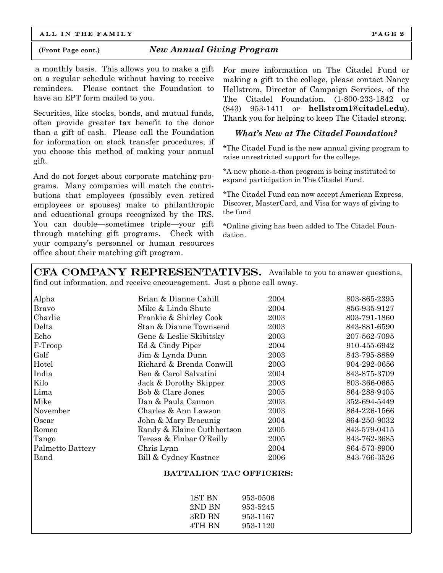ALL IN THE FAMILY **PAGE 2** 

#### **(Front Page cont.)** *New Annual Giving Program*

a monthly basis. This allows you to make a gift on a regular schedule without having to receive reminders. Please contact the Foundation to have an EPT form mailed to you.

Securities, like stocks, bonds, and mutual funds, often provide greater tax benefit to the donor than a gift of cash. Please call the Foundation for information on stock transfer procedures, if you choose this method of making your annual gift.

And do not forget about corporate matching programs. Many companies will match the contributions that employees (possibly even retired employees or spouses) make to philanthropic and educational groups recognized by the IRS. You can double—sometimes triple—your gift through matching gift programs. Check with your company's personnel or human resources office about their matching gift program.

For more information on The Citadel Fund or making a gift to the college, please contact Nancy Hellstrom, Director of Campaign Services, of the The Citadel Foundation. (1-800-233-1842 or (843) 953-1411 or **hellstrom1@citadel.edu**). Thank you for helping to keep The Citadel strong.

#### *What's New at The Citadel Foundation?*

\*The Citadel Fund is the new annual giving program to raise unrestricted support for the college.

\*A new phone-a-thon program is being instituted to expand participation in The Citadel Fund.

\*The Citadel Fund can now accept American Express, Discover, MasterCard, and Visa for ways of giving to the fund

\*Online giving has been added to The Citadel Foundation.

CFA COMPANY REPRESENTATIVES. Available to you to answer questions, find out information, and receive encouragement. Just a phone call away.

| Alpha            | Brian & Dianne Cahill          | 2004 | 803-865-2395 |
|------------------|--------------------------------|------|--------------|
| <b>Bravo</b>     | Mike & Linda Shute             | 2004 | 856-935-9127 |
| Charlie          | Frankie & Shirley Cook         | 2003 | 803-791-1860 |
| Delta            | Stan & Dianne Townsend         | 2003 | 843-881-6590 |
| Echo             | Gene & Leslie Skibitsky        | 2003 | 207-562-7095 |
| F-Troop          | Ed & Cindy Piper               | 2004 | 910-455-6942 |
| Golf             | Jim & Lynda Dunn               | 2003 | 843-795-8889 |
| Hotel            | Richard & Brenda Conwill       | 2003 | 904-292-0656 |
| India            | Ben & Carol Salvatini          | 2004 | 843-875-3709 |
| Kilo             | Jack & Dorothy Skipper         | 2003 | 803-366-0665 |
| Lima             | Bob & Clare Jones              | 2005 | 864-288-9405 |
| Mike             | Dan & Paula Cannon             | 2003 | 352-694-5449 |
| November         | Charles & Ann Lawson           | 2003 | 864-226-1566 |
| Oscar            | John & Mary Braeunig           | 2004 | 864-250-9032 |
| Romeo            | Randy & Elaine Cuthbertson     | 2005 | 843-579-0415 |
| Tango            | Teresa & Finbar O'Reilly       | 2005 | 843-762-3685 |
| Palmetto Battery | Chris Lynn                     | 2004 | 864-573-8900 |
| Band             | Bill & Cydney Kastner          | 2006 | 843-766-3526 |
|                  | <b>BATTALION TAC OFFICERS:</b> |      |              |

| 1ST BN | 953-0506 |
|--------|----------|
| 2ND BN | 953-5245 |
| 3RD BN | 953-1167 |
| 4TH RN | 953-1120 |
|        |          |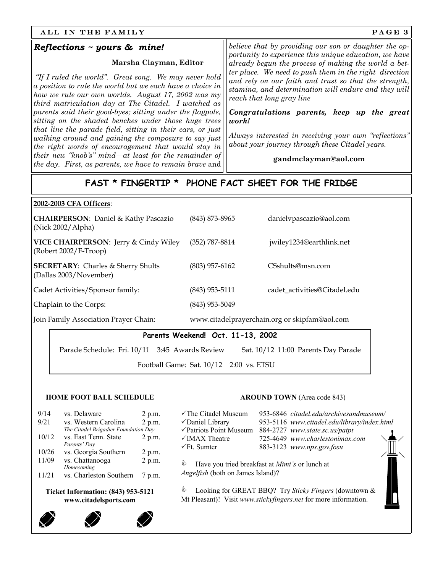#### ALL IN THE FAMILY SERVICES AND RESERVE TO A SERVICE SERVICE SERVICE SERVICE SERVICE SERVICE SERVICE SERVICE SERVICE SERVICE SERVICE SERVICE SERVICE SERVICE SERVICE SERVICE SERVICE SERVICE SERVICE SERVICE SERVICE SERVICE SE

#### *Reflections ~ yours & mine!*

#### **Marsha Clayman, Editor**

*"If I ruled the world". Great song. We may never hold a position to rule the world but we each have a choice in how we rule our own worlds. August 17, 2002 was my third matriculation day at The Citadel. I watched as parents said their good-byes; sitting under the flagpole, sitting on the shaded benches under those huge trees that line the parade field, sitting in their cars, or just walking around and gaining the composure to say just the right words of encouragement that would stay in their new "knob's" mind—at least for the remainder of the day. First, as parents, we have to remain brave* and *believe that by providing our son or daughter the opportunity to experience this unique education, we have already begun the process of making the world a better place. We need to push them in the right direction and rely on our faith and trust so that the strength, stamina, and determination will endure and they will reach that long gray line* 

*Congratulations parents, keep up the great work!* 

*Always interested in receiving your own "reflections" about your journey through these Citadel years.* 

#### **gandmclayman@aol.com**

### **FAST \* FINGERTIP \* PHONE FACT SHEET FOR THE FRIDGE**

#### **2002-2003 CFA Officers**:

| <b>CHAIRPERSON:</b> Daniel & Kathy Pascazio<br>(Nick 2002/Alpha)          | $(843)$ 873-8965 | danielvpascazio@aol.com                       |
|---------------------------------------------------------------------------|------------------|-----------------------------------------------|
| <b>VICE CHAIRPERSON: Jerry &amp; Cindy Wiley</b><br>(Robert 2002/F-Troop) | (352) 787-8814   | jwiley1234@earthlink.net                      |
| <b>SECRETARY:</b> Charles & Sherry Shults<br>(Dallas 2003/November)       | $(803)$ 957-6162 | CSshults@msn.com                              |
| Cadet Activities/Sponsor family:                                          | $(843)$ 953-5111 | cadet_activities@Citadel.edu                  |
| Chaplain to the Corps:                                                    | $(843)$ 953-5049 |                                               |
| Join Family Association Prayer Chain:                                     |                  | www.citadelprayerchain.org or skipfam@aol.com |

#### **Parents Weekend! Oct. 11-13, 2002**

Parade Schedule: Fri. 10/11 3:45 Awards Review Sat. 10/12 11:00 Parents Day Parade

Football Game: Sat. 10/12 2:00 vs. ETSU

#### **HOME FOOT BALL SCHEDULE**

| 9/14                                                               | vs. Delaware                         | 2 p.m. |  |
|--------------------------------------------------------------------|--------------------------------------|--------|--|
| 9/21                                                               | vs. Western Carolina                 | 2 p.m. |  |
|                                                                    | The Citadel Brigadier Foundation Day |        |  |
| 10/12                                                              | vs. East Tenn. State                 | 2 p.m. |  |
|                                                                    | Parents' Day                         |        |  |
| 10/26                                                              | vs. Georgia Southern                 | 2 p.m. |  |
| 11/09                                                              | vs. Chattanooga                      | 2 p.m. |  |
|                                                                    | Homecoming                           |        |  |
| 11/21                                                              | vs. Charleston Southern              | 7 p.m. |  |
| <b>Ticket Information: (843) 953-5121</b><br>www.citadelsports.com |                                      |        |  |



| √The Citadel Museum                                                                             |  | 953-6846 citadel.edu/archivesandmuseum/               |  |  |
|-------------------------------------------------------------------------------------------------|--|-------------------------------------------------------|--|--|
| √Daniel Library                                                                                 |  | 953-5116 www.citadel.edu/library/index.html           |  |  |
| √Patriots Point Museum                                                                          |  | 884-2727 www.state.sc.us/patpt                        |  |  |
| √IMAX Theatre                                                                                   |  | 725-4649 www.charlestonimax.com                       |  |  |
| $\sqrt{F}t$ . Sumter                                                                            |  | 883-3123 www.nps.gov.fosu                             |  |  |
| ♦<br>Have you tried breakfast at <i>Mimi's</i> or lunch at<br>Angelfish (both on James Island)? |  |                                                       |  |  |
| €                                                                                               |  | Looking for GREAT BBQ? Try Sticky Fingers (downtown & |  |  |

Mt Pleasant)! Visit *www.stickyfingers.net* for more information.





H